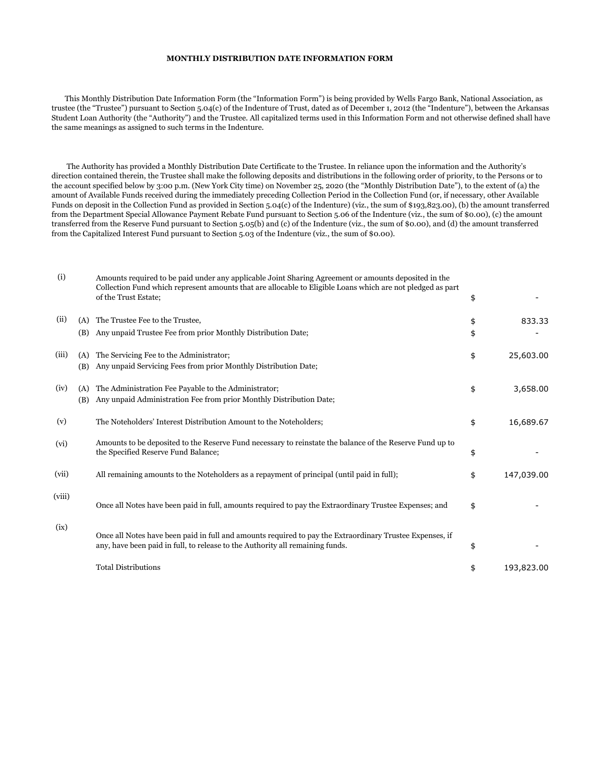## **MONTHLY DISTRIBUTION DATE INFORMATION FORM**

 This Monthly Distribution Date Information Form (the "Information Form") is being provided by Wells Fargo Bank, National Association, as trustee (the "Trustee") pursuant to Section 5.04(c) of the Indenture of Trust, dated as of December 1, 2012 (the "Indenture"), between the Arkansas Student Loan Authority (the "Authority") and the Trustee. All capitalized terms used in this Information Form and not otherwise defined shall have the same meanings as assigned to such terms in the Indenture.

 The Authority has provided a Monthly Distribution Date Certificate to the Trustee. In reliance upon the information and the Authority's direction contained therein, the Trustee shall make the following deposits and distributions in the following order of priority, to the Persons or to the account specified below by 3:00 p.m. (New York City time) on November 25, 2020 (the "Monthly Distribution Date"), to the extent of (a) the amount of Available Funds received during the immediately preceding Collection Period in the Collection Fund (or, if necessary, other Available Funds on deposit in the Collection Fund as provided in Section 5.04(c) of the Indenture) (viz., the sum of \$193,823.00), (b) the amount transferred from the Department Special Allowance Payment Rebate Fund pursuant to Section 5.06 of the Indenture (viz., the sum of \$0.00), (c) the amount transferred from the Reserve Fund pursuant to Section 5.05(b) and (c) of the Indenture (viz., the sum of \$0.00), and (d) the amount transferred from the Capitalized Interest Fund pursuant to Section 5.03 of the Indenture (viz., the sum of \$0.00).

| (i)    |            | Amounts required to be paid under any applicable Joint Sharing Agreement or amounts deposited in the<br>Collection Fund which represent amounts that are allocable to Eligible Loans which are not pledged as part<br>of the Trust Estate; | \$       |            |
|--------|------------|--------------------------------------------------------------------------------------------------------------------------------------------------------------------------------------------------------------------------------------------|----------|------------|
| (ii)   | (A)<br>(B) | The Trustee Fee to the Trustee,<br>Any unpaid Trustee Fee from prior Monthly Distribution Date;                                                                                                                                            | \$<br>\$ | 833.33     |
| (iii)  | (A)<br>(B) | The Servicing Fee to the Administrator;<br>Any unpaid Servicing Fees from prior Monthly Distribution Date;                                                                                                                                 | \$       | 25,603.00  |
| (iv)   | (A)<br>(B) | The Administration Fee Payable to the Administrator;<br>Any unpaid Administration Fee from prior Monthly Distribution Date;                                                                                                                | \$       | 3,658.00   |
| (v)    |            | The Noteholders' Interest Distribution Amount to the Noteholders;                                                                                                                                                                          | \$       | 16,689.67  |
| (vi)   |            | Amounts to be deposited to the Reserve Fund necessary to reinstate the balance of the Reserve Fund up to<br>the Specified Reserve Fund Balance;                                                                                            | \$       |            |
| (vii)  |            | All remaining amounts to the Noteholders as a repayment of principal (until paid in full);                                                                                                                                                 | \$       | 147,039.00 |
| (viii) |            | Once all Notes have been paid in full, amounts required to pay the Extraordinary Trustee Expenses; and                                                                                                                                     | \$       |            |
| (ix)   |            | Once all Notes have been paid in full and amounts required to pay the Extraordinary Trustee Expenses, if<br>any, have been paid in full, to release to the Authority all remaining funds.                                                  | \$       |            |
|        |            | <b>Total Distributions</b>                                                                                                                                                                                                                 | \$       | 193,823.00 |